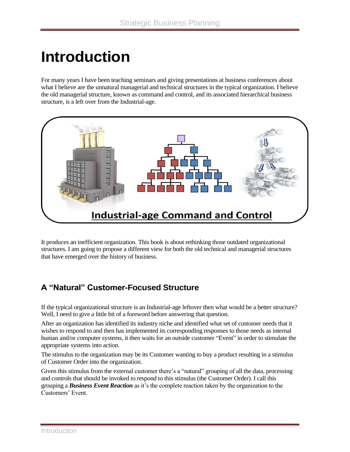# **Introduction**

For many years I have been teaching seminars and giving presentations at business conferences about what I believe are the unnatural managerial and technical structures in the typical organization. I believe the old managerial structure, known as command and control, and its associated hierarchical business structure, is a left over from the Industrial-age.



It produces an inefficient organization. This book is about rethinking those outdated organizational structures. I am going to propose a different view for both the old technical and managerial structures that have emerged over the history of business.

## **A "Natural" Customer-Focused Structure**

If the typical organizational structure is an Industrial-age leftover then what would be a better structure? Well, I need to give a little bit of a foreword before answering that question.

After an organization has identified its industry niche and identified what set of customer needs that it wishes to respond to and then has implemented its corresponding responses to those needs as internal human and/or computer systems, it then waits for an outside customer "Event" in order to stimulate the appropriate systems into action.

The stimulus to the organization may be its Customer wanting to buy a product resulting in a stimulus of Customer Order into the organization.

Given this stimulus from the external customer there's a "natural" grouping of all the data, processing and controls that should be invoked to respond to this stimulus (the Customer Order). I call this grouping a *Business Event Reaction* as it's the complete reaction taken by the organization to the Customers' Event.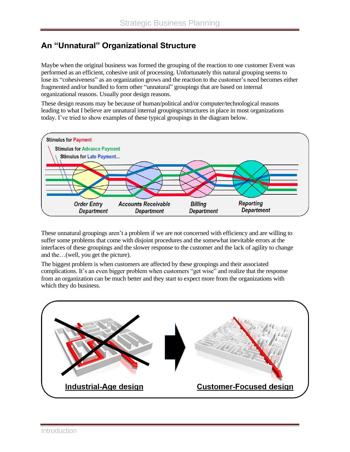## **An "Unnatural" Organizational Structure**

Maybe when the original business was formed the grouping of the reaction to one customer Event was performed as an efficient, cohesive unit of processing. Unfortunately this natural grouping seems to lose its "cohesiveness" as an organization grows and the reaction to the customer's need becomes either fragmented and/or bundled to form other "unnatural" groupings that are based on internal organizational reasons. Usually poor design reasons.

These design reasons may be because of human/political and/or computer/technological reasons leading to what I believe are unnatural internal groupings/structures in place in most organizations today. I've tried to show examples of these typical groupings in the diagram below.



These unnatural groupings aren't a problem if we are not concerned with efficiency and are willing to suffer some problems that come with disjoint procedures and the somewhat inevitable errors at the interfaces of these groupings and the slower response to the customer and the lack of agility to change and the…(well, you get the picture).

The biggest problem is when customers are affected by these groupings and their associated complications. It's an even bigger problem when customers "get wise" and realize that the response from an organization can be much better and they start to expect more from the organizations with which they do business.

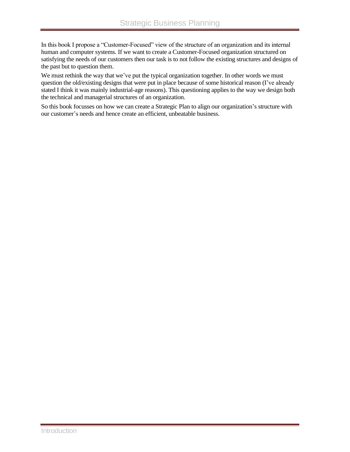In this book I propose a "Customer-Focused" view of the structure of an organization and its internal human and computer systems. If we want to create a Customer-Focused organization structured on satisfying the needs of our customers then our task is to not follow the existing structures and designs of the past but to question them.

We must rethink the way that we've put the typical organization together. In other words we must question the old/existing designs that were put in place because of some historical reason (I've already stated I think it was mainly industrial-age reasons). This questioning applies to the way we design both the technical and managerial structures of an organization.

So this book focusses on how we can create a Strategic Plan to align our organization's structure with our customer's needs and hence create an efficient, unbeatable business.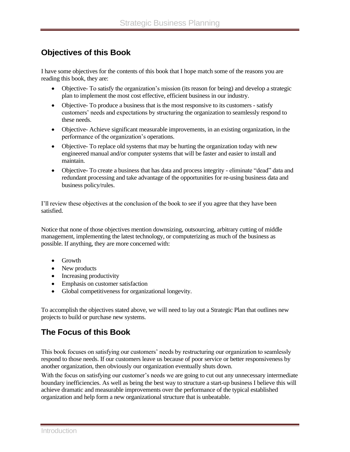#### **Objectives of this Book**

I have some objectives for the contents of this book that I hope match some of the reasons you are reading this book, they are:

- Objective- To satisfy the organization's mission (its reason for being) and develop a strategic plan to implement the most cost effective, efficient business in our industry.
- Objective- To produce a business that is the most responsive to its customers satisfy customers' needs and expectations by structuring the organization to seamlessly respond to these needs.
- Objective- Achieve significant measurable improvements, in an existing organization, in the performance of the organization's operations.
- Objective- To replace old systems that may be hurting the organization today with new engineered manual and/or computer systems that will be faster and easier to install and maintain.
- Objective- To create a business that has data and process integrity eliminate "dead" data and redundant processing and take advantage of the opportunities for re-using business data and business policy/rules.

I'll review these objectives at the conclusion of the book to see if you agree that they have been satisfied.

Notice that none of those objectives mention downsizing, outsourcing, arbitrary cutting of middle management, implementing the latest technology, or computerizing as much of the business as possible. If anything, they are more concerned with:

- Growth
- New products
- Increasing productivity
- Emphasis on customer satisfaction
- Global competitiveness for organizational longevity.

To accomplish the objectives stated above, we will need to lay out a Strategic Plan that outlines new projects to build or purchase new systems.

## **The Focus of this Book**

This book focuses on satisfying our customers' needs by restructuring our organization to seamlessly respond to those needs. If our customers leave us because of poor service or better responsiveness by another organization, then obviously our organization eventually shuts down.

With the focus on satisfying our customer's needs we are going to cut out any unnecessary intermediate boundary inefficiencies. As well as being the best way to structure a start-up business I believe this will achieve dramatic and measurable improvements over the performance of the typical established organization and help form a new organizational structure that is unbeatable.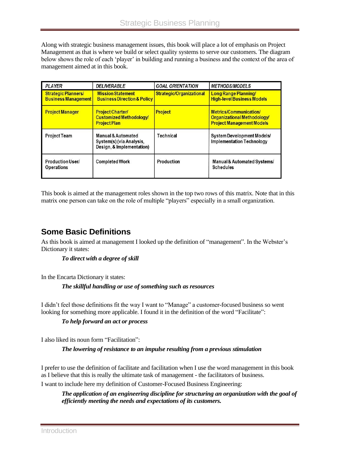Along with strategic business management issues, this book will place a lot of emphasis on Project Management as that is where we build or select quality systems to serve our customers. The diagram below shows the role of each 'player' in building and running a business and the context of the area of management aimed at in this book.

| <b>PLAYER</b>                                            | <i><b>DELIVERABLE</b></i>                                                              | <b>GOAL ORIENTATION</b>  | <b>METHODS/MODELS</b>                                                                     |
|----------------------------------------------------------|----------------------------------------------------------------------------------------|--------------------------|-------------------------------------------------------------------------------------------|
| <b>Strategic Planners/</b><br><b>Business Management</b> | <b>Mission Statement</b><br><b>Business Direction &amp; Policy</b>                     | Strategic/Organizational | Long Range Planning/<br><b>High-level Business Models</b>                                 |
| <b>Project Manager</b>                                   | <b>Project Charter/</b><br><b>Customized Methodology/</b><br><b>Project Plan</b>       | <b>Project</b>           | Metrics/Communication/<br>Organizational Methodology/<br><b>Project Management Models</b> |
| <b>Project Team</b>                                      | <b>Manual &amp; Automated</b><br>System(s) (via Analysis,<br>Design, & Implementation) | Technical                | System Development Models/<br><b>Implementation Technology</b>                            |
| Production User/<br><b>Operations</b>                    | <b>Completed Work</b>                                                                  | Production               | Manual & Automated Systems/<br><b>Schedules</b>                                           |

This book is aimed at the management roles shown in the top two rows of this matrix. Note that in this matrix one person can take on the role of multiple "players" especially in a small organization.

## **Some Basic Definitions**

As this book is aimed at management I looked up the definition of "management". In the Webster's Dictionary it states:

#### *To direct with a degree of skill*

In the Encarta Dictionary it states:

#### *The skillful handling or use of something such as resources*

I didn't feel those definitions fit the way I want to "Manage" a customer-focused business so went looking for something more applicable. I found it in the definition of the word "Facilitate":

#### *To help forward an act or process*

I also liked its noun form "Facilitation":

*The lowering of resistance to an impulse resulting from a previous stimulation*

I prefer to use the definition of facilitate and facilitation when I use the word management in this book as I believe that this is really the ultimate task of management - the facilitators of business. I want to include here my definition of Customer-Focused Business Engineering:

*The application of an engineering discipline for structuring an organization with the goal of efficiently meeting the needs and expectations of its customers.*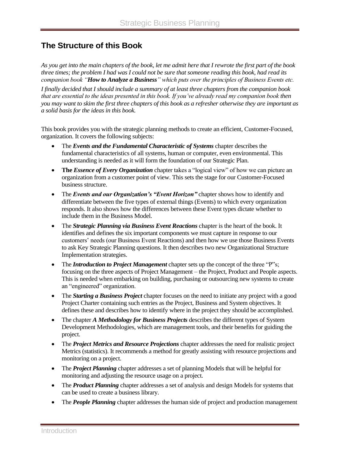#### **The Structure of this Book**

*As you get into the main chapters of the book, let me admit here that I rewrote the first part of the book three times; the problem I had was I could not be sure that someone reading this book, had read its companion book "How to Analyze a Business" which puts over the principles of Business Events etc.* 

*I finally decided that I should include a summary of at least three chapters from the companion book that are essential to the ideas presented in this book. If you've already read my companion book then you may want to skim the first three chapters of this book as a refresher otherwise they are important as a solid basis for the ideas in this book.*

This book provides you with the strategic planning methods to create an efficient, Customer-Focused, organization. It covers the following subjects:

- The *Events and the Fundamental Characteristic of Systems* chapter describes the fundamental characteristics of all systems, human or computer, even environmental. This understanding is needed as it will form the foundation of our Strategic Plan.
- The *Essence of Every Organization* chapter takes a "logical view" of how we can picture an organization from a customer point of view. This sets the stage for our Customer-Focused business structure.
- The *Events and our Organization's "Event Horizon"* chapter shows how to identify and differentiate between the five types of external things (Events) to which every organization responds. It also shows how the differences between these Event types dictate whether to include them in the Business Model.
- The *Strategic Planning via Business Event Reactions* chapter is the heart of the book. It identifies and defines the six important components we must capture in response to our customers' needs (our Business Event Reactions) and then how we use those Business Events to ask Key Strategic Planning questions. It then describes two new Organizational Structure Implementation strategies.
- The *Introduction to Project Management* chapter sets up the concept of the three "P"s; focusing on the three aspects of Project Management – the Project, Product and People aspects. This is needed when embarking on building, purchasing or outsourcing new systems to create an "engineered" organization.
- The *Starting a Business Project* chapter focuses on the need to initiate any project with a good Project Charter containing such entries as the Project, Business and System objectives. It defines these and describes how to identify where in the project they should be accomplished.
- The chapter *A Methodology for Business Projects* describes the different types of System Development Methodologies, which are management tools, and their benefits for guiding the project.
- The *Project Metrics and Resource Projections* chapter addresses the need for realistic project Metrics (statistics). It recommends a method for greatly assisting with resource projections and monitoring on a project.
- The **Project Planning** chapter addresses a set of planning Models that will be helpful for monitoring and adjusting the resource usage on a project.
- The *Product Planning* chapter addresses a set of analysis and design Models for systems that can be used to create a business library.
- The **People Planning** chapter addresses the human side of project and production management